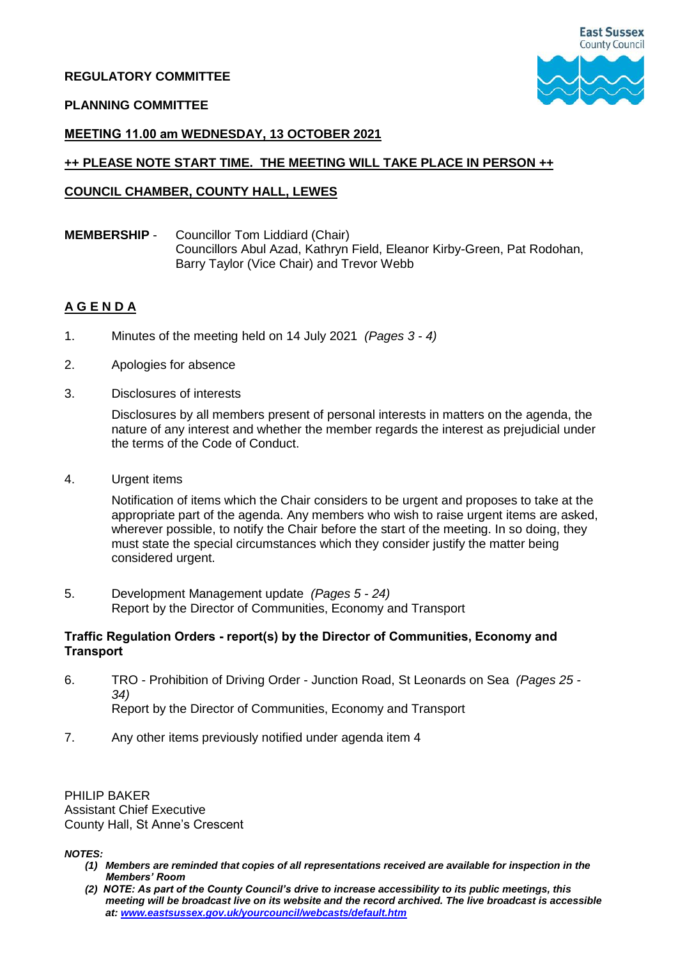# **REGULATORY COMMITTEE**

## **PLANNING COMMITTEE**



## **MEETING 11.00 am WEDNESDAY, 13 OCTOBER 2021**

#### **++ PLEASE NOTE START TIME. THE MEETING WILL TAKE PLACE IN PERSON ++**

#### **COUNCIL CHAMBER, COUNTY HALL, LEWES**

**MEMBERSHIP** - Councillor Tom Liddiard (Chair) Councillors Abul Azad, Kathryn Field, Eleanor Kirby-Green, Pat Rodohan, Barry Taylor (Vice Chair) and Trevor Webb

## **A G E N D A**

- 1. Minutes of the meeting held on 14 July 2021 *(Pages 3 - 4)*
- 2. Apologies for absence
- 3. Disclosures of interests

Disclosures by all members present of personal interests in matters on the agenda, the nature of any interest and whether the member regards the interest as prejudicial under the terms of the Code of Conduct.

4. Urgent items

Notification of items which the Chair considers to be urgent and proposes to take at the appropriate part of the agenda. Any members who wish to raise urgent items are asked, wherever possible, to notify the Chair before the start of the meeting. In so doing, they must state the special circumstances which they consider justify the matter being considered urgent.

5. Development Management update *(Pages 5 - 24)* Report by the Director of Communities, Economy and Transport

#### **Traffic Regulation Orders - report(s) by the Director of Communities, Economy and Transport**

- 6. TRO Prohibition of Driving Order Junction Road, St Leonards on Sea *(Pages 25 - 34)* Report by the Director of Communities, Economy and Transport
- 7. Any other items previously notified under agenda item 4

PHILIP BAKER Assistant Chief Executive County Hall, St Anne's Crescent

*NOTES:*

- *(1) Members are reminded that copies of all representations received are available for inspection in the Members' Room*
- *(2)**NOTE: As part of the County Council's drive to increase accessibility to its public meetings, this meeting will be broadcast live on its website and the record archived. The live broadcast is accessible at: [www.eastsussex.gov.uk/yourcouncil/webcasts/default.htm](http://www.eastsussex.gov.uk/yourcouncil/webcasts/default.htm)*